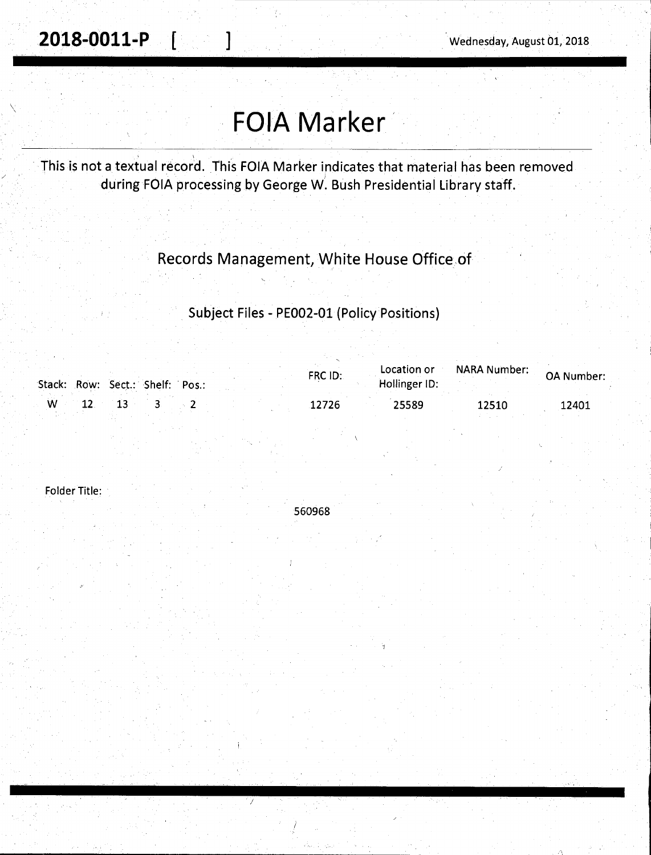$\bigwedge$ 

# **FOIA Marker,**

This is not a textual record. This FOIA Marker indicates that material has been removed during FOIA processing by George W. Bush Presidential Library staff.

### Records Management, White House Office.of

Subject Files - PE002-01 (Policy Positions)

| Stack: Row: Sect.: Shelf: Pos.: |  |  |  | FRC ID: | Location or<br>Hollinger ID: | <b>NARA Number:</b> | <b>OA Number:</b> |
|---------------------------------|--|--|--|---------|------------------------------|---------------------|-------------------|
| . W 12                          |  |  |  | 12726   | 25589                        | 12510               | 12401             |

Folder Title:



/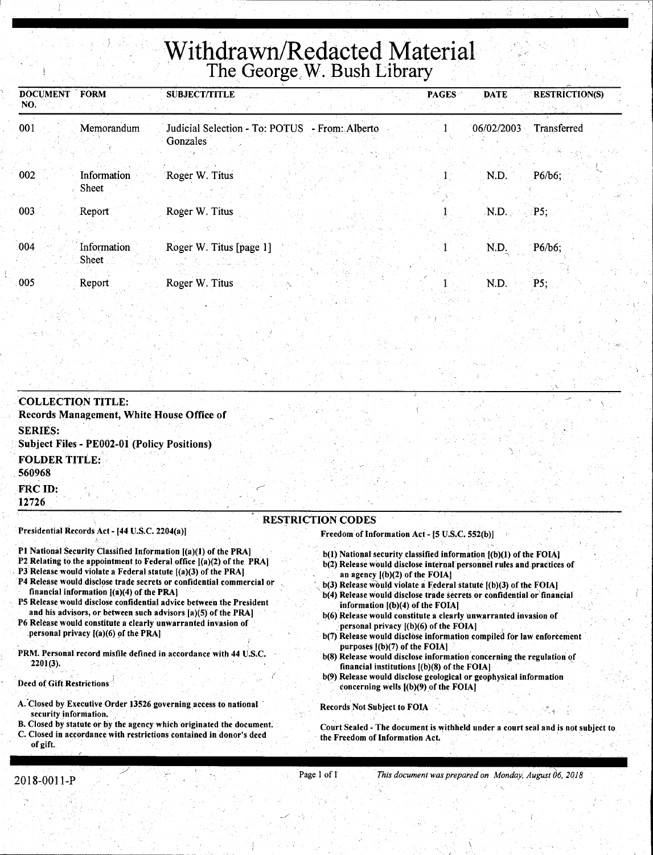# **Withdrawn/Redacted Material**  The George,W. Bush Library

| <b>DOCUMENT FORM</b><br>NO. |                      | <b>SUBJECT/TITLE</b>                                       | <b>PAGES</b> | <b>DATE</b> | <b>RESTRÍCTION(S)</b> |
|-----------------------------|----------------------|------------------------------------------------------------|--------------|-------------|-----------------------|
| 001                         | Memorandum           | Judicial Selection - To: POTUS - From: Alberto<br>Gonzales |              | 06/02/2003  | Transferred           |
| 002                         | Information<br>Sheet | Roger W. Titus                                             |              | N.D.        | P6/b6;                |
| 003                         | Report               | Roger W. Titus                                             |              | N.D.        | $\cdot$ P5;           |
| .004                        | Information<br>Sheet | Roger W. Titus [page 1]                                    |              | N.D.        | P6/b6;                |
| 005                         | Report               | Roger W. Titus                                             |              | N.D.        | P5:                   |

COLLECTION TITLE: Records Management, White House Office of SERIES: Subject Files - PE002-01 (Policy Positions) . FOLDER TITLE: 560968

FRCID: 12726

Presidential Records Act - [44 U.S.C. 2204(a))

- Pl National Security Classified Information [(a)(1) of the PRA]
- P2 Relating to the appointment to Federal office  $[(a)(2)$  of the PRA]
- P3 Release would violate a Federal statute [(a)(3) of the PRA)
- P4 Release would disclose trade secrets or confidential commercial or financial information [(a)(4) of the PRA)
- PS Release would disclose confidential advice between the President and his advisors, or between such advisors [a)(S) of the PRA]
- P6 Release would constitute a clearly unwarranted invasion of personal privacy  $[(a)(6)$  of the PRA]
- PRM. Personal record misfile defined in accordance with 44 U.S.C. 2201(3).

Deed of Gift Restrictions

- A. Closed by Executive Order 13526 governing access to national security information.
- B. Closed by statute or by the agency which originated the document. C. Closed in accordance with restrictions contained in donor's deed of gift.

#### RESTRICTION CODES

Freedom of Information Act - [5 U.S.C. 552(b)]

- b(l) National security classified information [(b)(l) of the FOIA) b(2) Release would disclose internal personnel rules and practices of
- an agency [(b)(2) of the FOIAJ
- $b(3)$  Release would violate a Federal statute  $[(b)(3)$  of the FOIA]
- b(4) Release would disclose trade secrets or confidential or financial information  $[(b)(4)$  of the FOIA]
- b(6) Release would constitute a clearly unwarranted invasion of personal privacy [(b)(6) of the FOIA]
- b(7) Release would disclose information compiled for law enforcement purposes [(b)(7) of the FOIA]
- $b(8)$  Release would disclose information concerning the regulation of financial institutions  $[(b)(8)$  of the FOIA]
- b(9) Release would disclose geological or geophysical information concerning wells  $[(b)(9)$  of the FOIA]

Records Not Subject to FOIA

Court Sealed - The document is withheld under a court seal and is not subject to the Freedom of Information Act.

./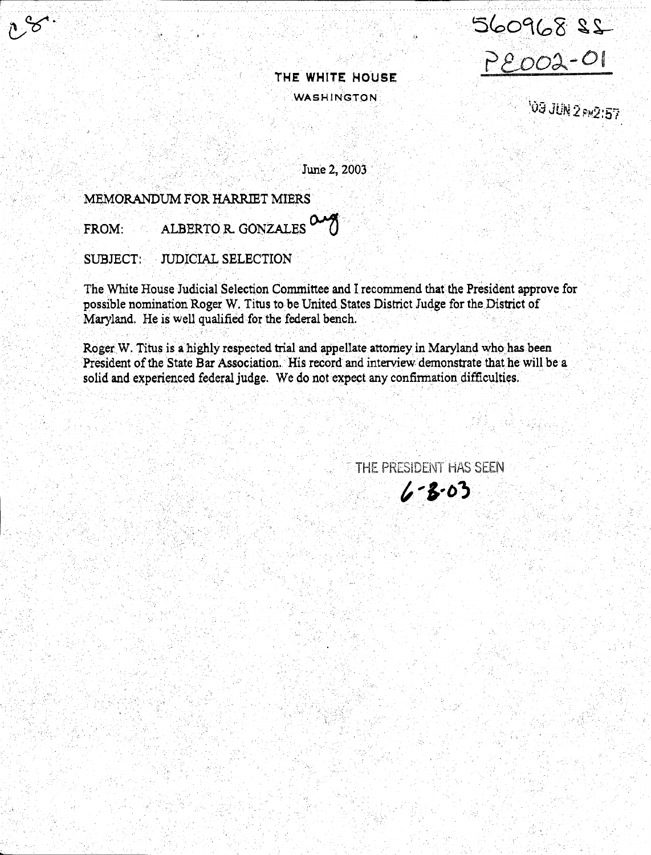22 809005

Peoo2-01

**109 JUN 2 PM2:57** 

June 2, 2003

### MEMORANDUM FOR HARRIET MIERS

ALBERTO R. GONZALES  $\alpha$ FROM:

SUBJECT: **JUDICIAL SELECTION** 

The White House Judicial Selection Committee and I recommend that the President approve for possible nomination Roger W. Titus to be United States District Judge for the District of Maryland. He is well qualified for the federal bench.

Roger W. Titus is a highly respected trial and appellate attorney in Maryland who has been President of the State Bar Association. His record and interview demonstrate that he will be a solid and experienced federal judge. We do not expect any confirmation difficulties.

> THE PRESIDENT HAS SEEN  $6 - 3 - 03$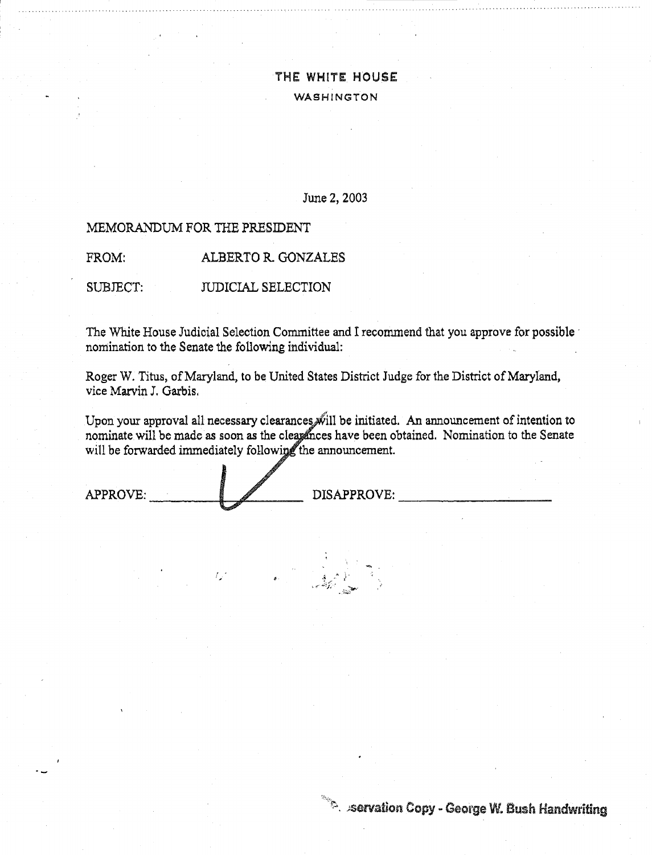### June 2, 2003

### MEMORANDUM FOR THE PRESIDENT

FROM: ALBERTO R. GONZALES

SUBJECT: JUDICIAL SELECTION

The White House Judicial Selection Committee and I recommend that you approve for possible nomination to the Senate the following individual:

Roger W. Titus, of Maryland, to be United States District Judge for the District of Maryland, vice Marvin J. Garbis.

Upon your approval all necessary clearances will be initiated. An announcement of intention to nominate will be made as soon as the clearances have been obtained. Nomination to the Senate will be forwarded immediately following the announcement.

المستخطية بالمركز تقديم .<br>المستخطية بالمركز تقديم .

*<sup>r</sup>*• . , .i ~.., ,} .

APPROVE:

DISAPPROVE:

 $\sim$   $\sim$  servation Copy - George W. Bush Handwriting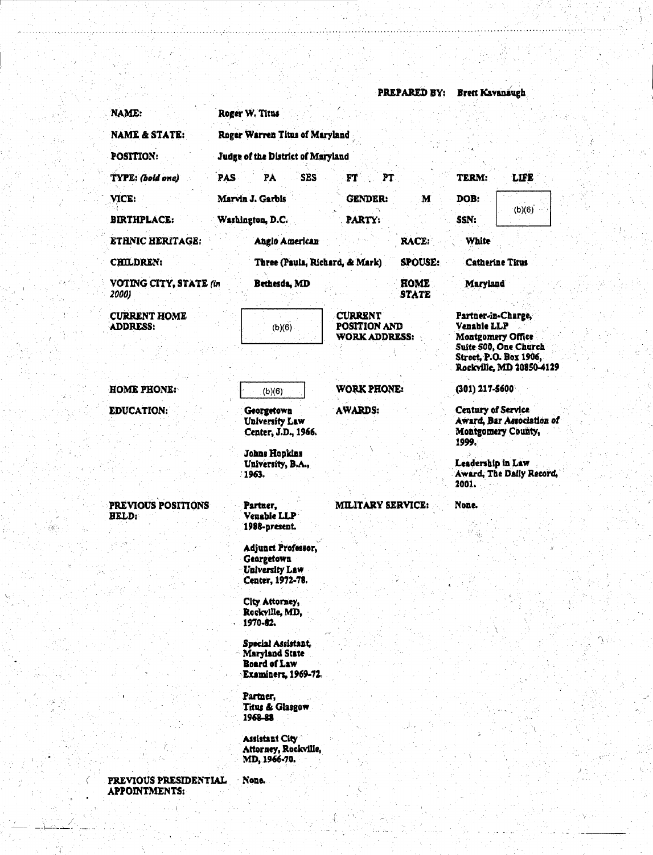PREPARED BY: Brett Kavanaugh NAME: Roger W. Titus **NAME & STATE:** Roger Warren Titus of Maryland POSITION: Judge of the District of Maryland TYPE: (bold one) **PAS** PÅ **SBS** FT PT TERM: LIFE VICE: Marvin J. Garbis **GENDER:** DOB: M  $(b)(6)$ **BIRTHPLACE:** PARTY: SSN: Washington, D.C. **ETHNIC HERITAGE:** Angio American RACE: **White** CHILDREN: Three (Paula, Richard, & Mark) **SPOUSE: Catherine Titus VOTING CITY, STATE (in ROME** Bethesda, MD Maryland 2000) **STATE CURRENT HOME CURRENT** Partner-in-Charge. ADDRESS: POSITION AND **Venable LLP**  $(b)(6)$ **WORK ADDRESS: Montgomery Office** Suite 500, One Church Street. P.O. Box 1906. Rockville, MD 20850-4129 **WORK PHONE:** (301) 217-5600 **HOME PHONE:**  $(b)(6)$ Century of Service **EDUCATION:** Georgetown **AWARDS:** Award. Bar Association of **University Law** Center, J.D., 1966. Montgomery County, 1999. **Johns Hopkins** Leadership in Law University, B.A., 1963. Award, The Daily Record, 2001. PREVIOUS POSITIONS Partner. **MILITARY SERVICE:** None. Venable LLP HELD: 1988-present. Adjunct Professor, **Georgetown University Law** Center, 1972-78. City Attorney, Rockville, MD, 1970-82. Special Assistant, Maryland State Board of Law **Examiners, 1969-72.** Partner, Titus & Glasgow 1968-88 **Assistant City** Attorney, Rockville, MD, 1966-70. PREVIOUS PRESIDENTIAL None. **APPOINTMENTS:**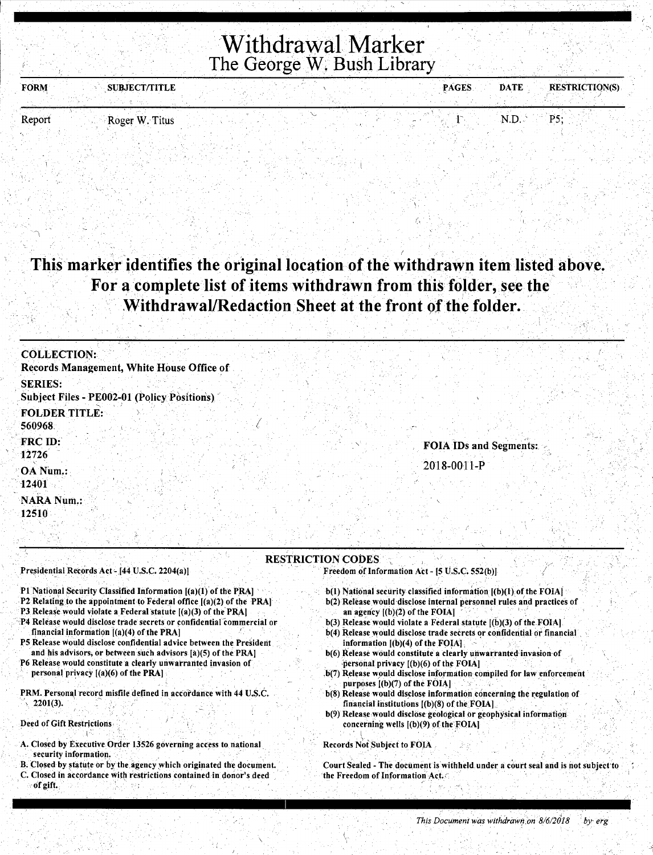# **Withdrawal Marker** The George W. Bush Library

| <b>FORM</b><br><b>SUBJECT/TITLE</b> |  | DATE:<br><b>PAGES</b> | <b>RESTRICTION(S)</b> |
|-------------------------------------|--|-----------------------|-----------------------|
|                                     |  |                       |                       |
| $R$ ocer $W$ Titus<br>Renort        |  | . N I J               | אח                    |

# This marker identifies the original location of the withdrawn item listed above. For a complete list of items withdrawn from this folder, see the Withdrawal/Redaction Sheet at the front of the folder.

| <b>COLLECTION:</b>                                            |  |  |                               |  |
|---------------------------------------------------------------|--|--|-------------------------------|--|
| Records Management, White House Office of                     |  |  |                               |  |
| <b>SERIES:</b><br>Subject Files - PE002-01 (Policy Positions) |  |  |                               |  |
| <b>FOLDER TITLE:</b><br>560968                                |  |  |                               |  |
| FRC ID:<br>12726                                              |  |  | <b>FOIA IDs and Segments:</b> |  |
| OA Num.:<br>12401                                             |  |  | 2018-0011-P                   |  |
| <b>NARA Num.:</b><br>12510                                    |  |  |                               |  |

#### **RESTRICTION CODES** Presidential Records Act - [44 U.S.C. 2204(a)]

P1 National Security Classified Information [(a)(1) of the PRA]

- P2 Relating to the appointment to Federal office [(a)(2) of the PRA]
- P3 Release would violate a Federal statute [(a)(3) of the PRA]
- P4 Release would disclose trade secrets or confidential commercial or financial information [(a)(4) of the PRA]
- P5 Release would disclose confidential advice between the President and his advisors, or between such advisors [a)(5) of the PRA]
- P6 Release would constitute a clearly unwarranted invasion of personal privacy [(a)(6) of the PRA]
- PRM. Personal record misfile defined in accordance with 44 U.S.C.  $2201(3)$ .

#### Deed of Gift Restrictions

- A. Closed by Executive Order 13526 governing access to national security information.
- B. Closed by statute or by the agency which originated the document.
- C. Closed in accordance with restrictions contained in donor's deed of gift.

Freedom of Information Act - [5 U.S.C. 552(b)]

- b(1) National security classified information [(b)(1) of the FOIA]
- b(2) Release would disclose internal personnel rules and practices of an agency  $[(b)(2)$  of the FOIA]
- b(3) Release would violate a Federal statute [(b)(3) of the FOIA]. b(4) Release would disclose trade secrets or confidential or financial information [(b)(4) of the FOIA].
- b(6) Release would constitute a clearly unwarranted invasion of personal privacy  $[(b)(6)$  of the FOIA]
- b(7) Release would disclose information compiled for law enforcement purposes [(b)(7) of the FOIA]
- b(8) Release would disclose information concerning the regulation of financial institutions [(b)(8) of the FOIA]
- b(9) Release would disclose geological or geophysical information concerning wells [(b)(9) of the FOIA]

#### Records Not Subject to FOIA

Court Sealed - The document is withheld under a court seal and is not subject to the Freedom of Information Act.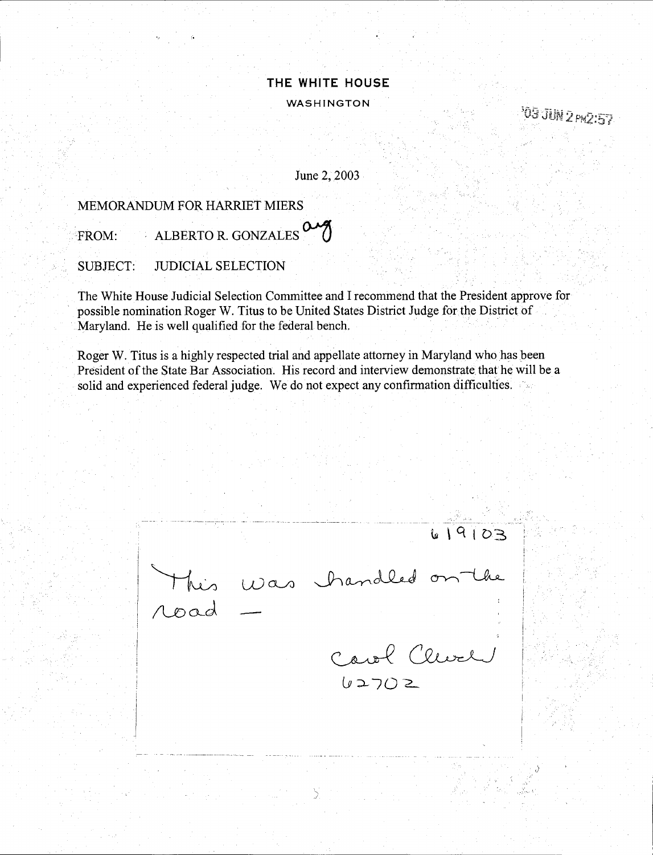103 JUN 2 PM2:57

June 2, 2003

### MEMORANDUM FOR HARRIET MIERS

FROM: ALBERTO R. GONZALES

SUBJECT: JUDICIAL SELECTION

The White House Judicial Selection Committee and I recommend that the President approve for possible nomination Roger W. Titus to be United States District Judge for the District of Maryland. He is well qualified for the federal bench. .

Roger W. Titus is a highly respected trial and appellate attorney in Maryland who has been President of the State Bar Association. His record and interview demonstrate that he will be a solid and experienced federal judge. We do not expect any confirmation difficulties.

 $619103$ Was handled on the road Carol Clevel  $62702$ 

 $\check{L}$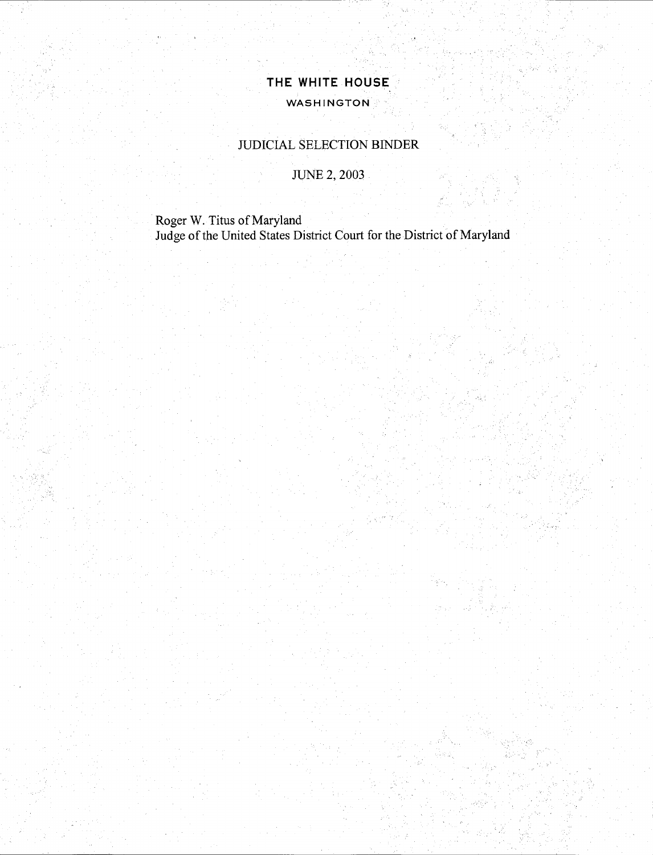### WDICIAL SELECTION BINDER

JUNE 2, 2003

Roger W. Titus of Maryland Judge of the United States District Court for the District of Maryland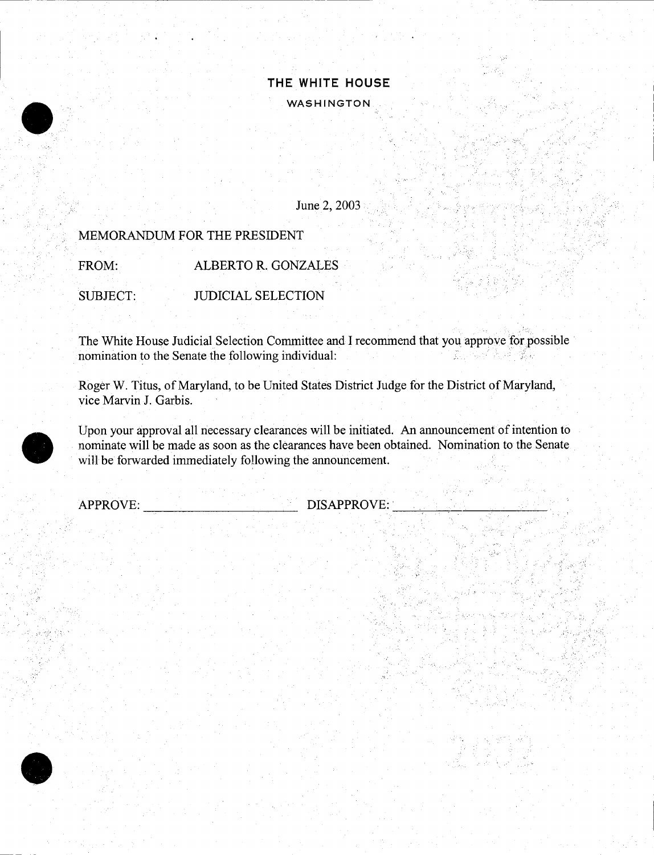### June 2, 2003

### MEMORANDUM FOR THE PRESIDENT

FROM: ALBERTO R. GONZALES

SUBJECT: JUDICIAL SELECTION

 $\label{eq:3.1} \left\langle \alpha_{\rm L} \cdot \mathbf{v} \right\rangle_{\rm L} = \left\langle \alpha_{\rm L} \cdot \mathbf{v} \right\rangle_{\rm L}$ 

The White House Judicial Selection Committee and I recommend that you approve for possible nomination to the Senate the following individual:

Roger W. Titus, of Maryland, to be United States District Judge for the District of Maryland, vice Marvin J. Garbis.

Upon your approval all necessary clearances will be initiated. An announcement of intention to nominate will be made as soon as the clearances have been obtained. Nomination to the Senate will be forwarded immediately following the announcement.

APPROVE:

 $\bullet$ 

•

DISAPPROVE:

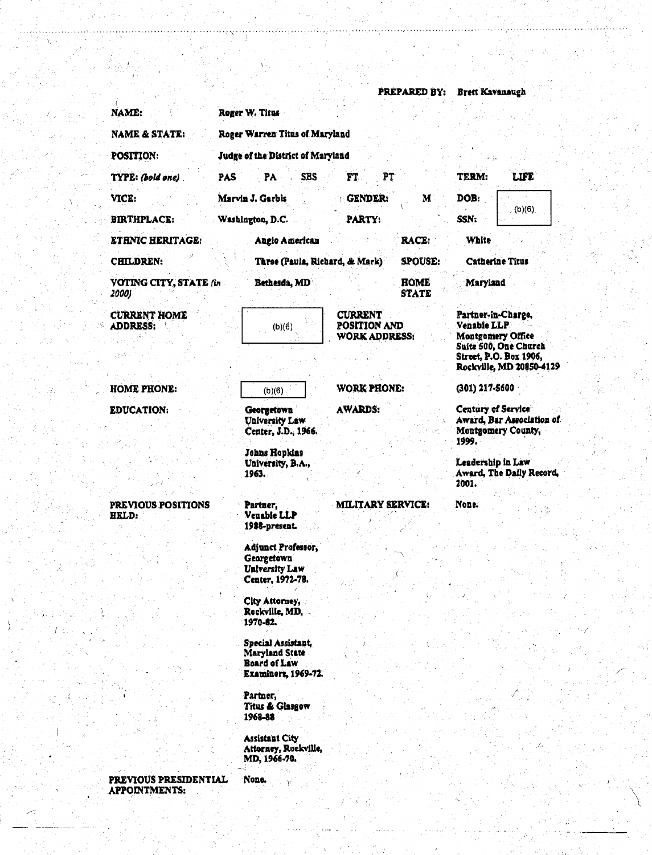**PREPARED BY: Brett Kavanaugh** Roger W. Titus NAME: **NAME & STATE:** Roger Warren Titus of Maryland POSITION: Judge of the District of Maryland PAS PA SBS PT TERM: **LIFE** TYPE: Coold one) FT. VICE: Marvin J. Garbis **GENDER:** M DOB:  $(b)(6)$ SSN: **BIRTHPLACE:** Washington, D.C. PARTY: Angio American **ETHNIC HERITAGE:** RACE: **White** CHILDREN: Three (Paula, Richard, & Mark) **SPOUSE: Catherine Titus** VOTING CITY, STATE (in Bethesda, MD **HOME** Maryland **STATE** 2000) **CURRENT HOME CURRENT** Partner-in-Charge. **POSITION AND ADDRESS:**  $(b)(6)$ Venable LLP Montgomery Office **WORK ADDRESS:** Suite 500, One Church Street, P.O. Box 1906, Rockville, MD 20850-4129 **HOME PHONE: WORK PHONE:** (301) 217-5600  $(b)(6)$ **AWARDS:** Century of Service **EDUCATION:** Georgetown **University Law** Award, Bar Association of Center, J.D., 1966. Montgomery County, 1999. Johns Hopkins University, B.A., Leadership in Law Award, The Daily Record, 1963. 2001. PREVIOUS POSITIONS **MILITARY SERVICE:** None. Partner, Venable LLP **HELD:** 1988-present. Adjunct Professor, Georgetown **University Law** Center, 1972-78. City Attorney, Rockville, MD, 1970-82. Special Assistant, Maryland State **Board of Law Examiners, 1969-72.** Partner, Titus & Glasgow 1968-88 **Assistant City** Attorney, Rockville,<br>MD, 1966-70. PREVIOUS PRESIDENTIAL None. **APPOINTMENTS:**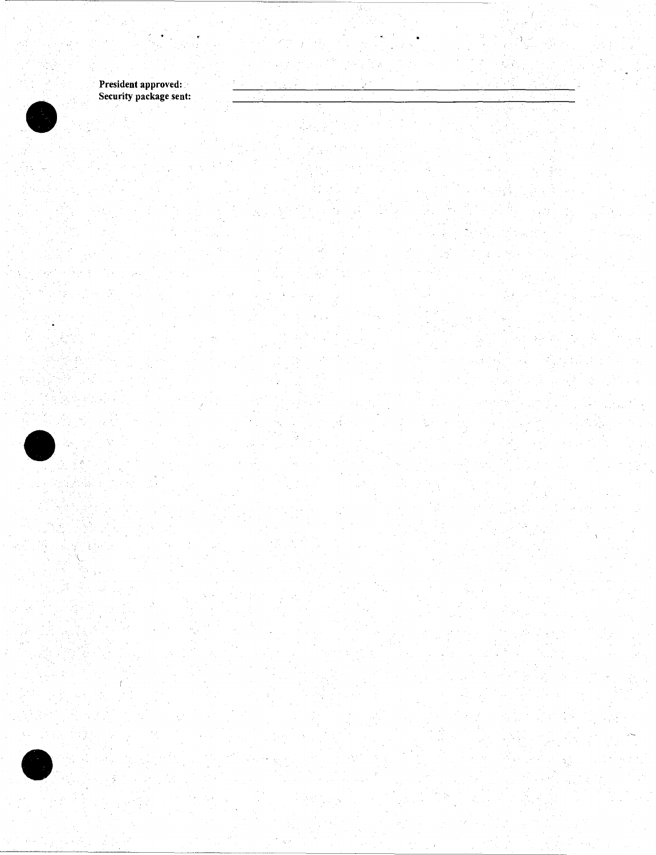President approved: Security package sent:

 $\sim$ 

 $\bullet$ 

 $\bullet$ 

 $\bullet$